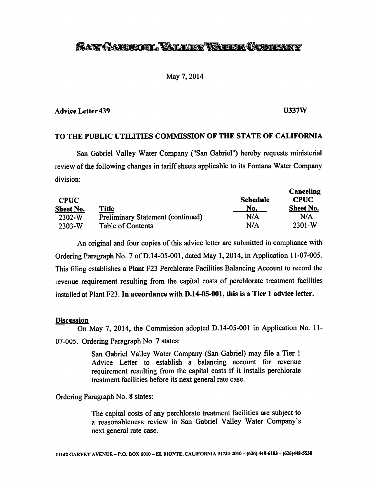# *SANGAFRIEL VALLEY WATER GOMPANY*

## May 7,2014

### *Advice Letter439 U337W*

*Canceling*

# *TO THE PUBLIC UTILITIES COMMISSION OF THE STATE OF CALIFORNIA*

San Gabriel Valley Water Company ("San Gabriel") hereby requests ministerial review of the following changes in tariff sheets applicable to its Fontana Water Company division:

| <b>CPUC</b><br>Sheet No. | <b>Title</b>                             | <b>Schedule</b><br>No. | Canceling<br><b>CPUC</b><br>Sheet No. |  |
|--------------------------|------------------------------------------|------------------------|---------------------------------------|--|
| $2302-W$                 | <b>Preliminary Statement (continued)</b> | N/A                    | N/A                                   |  |
| $2303-W$                 | Table of Contents                        | N/A                    | $2301 - W$                            |  |

An original and four copies of this advice letter are submitted in compliance with Ordering Paragraph No. 7 of D.14-05-001, dated May 1, 2014, in Application 11-07-005. This filing establishes a Plant F23 Perchlorate Facilities Balancing Account to record the revenue requirement resulting from the capital costs of perchlorate treatment facilities installed at Plant F23. *In accordance with D.14-05-001, this is a Tier 1 advice letter.*

#### *Discussion*

On May 7, 2014, the Commission adopted D.14-05-001 in Application No. 11- 07-005. Ordering Paragraph No. 7 states:

> San Gabriel Valley Water Company (San Gabriel) may file a Tier 1 Advice Letter to establish a balancing account for revenue requirement resulting from the capital costs if it installs perchlorate treatment facilities before its next general rate case.

Ordering Paragraph No. 8 states:

The capital costs of any perchlorate treatment facilities are subject to a reasonableness review in San Gabriel Valley Water Company's next general rate case.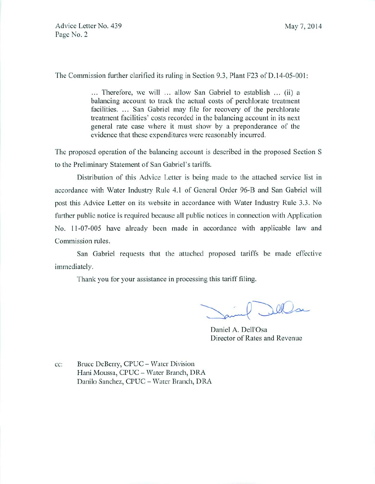Advice Letter No. 439 May 7, 2014 Page No. 2

The Commission further clarified its ruling in Section 9.3, Plant F23 of D.14-05-001:

... Therefore, we will ... allow San Gabriel to establish ... (ii) a balancing account to track the actual costs of perchlorate treatment facilities. ... San Gabriel may file for recovery of the perchlorate treatment facilities' costs recorded in the balancing account in its next general rate case where it must show by a preponderance of the evidence that these expenditures were reasonably incurred.

The proposed operation of the balancing account is described in the proposed Section S to the Preliminary Statement of San Gabriel's tariffs.

Distribution of this Advice Letter is being made to the attached service list in accordance with Water Industry Rule 4.1 of General Order 96-B and San Gabriel will post this Advice Letter on its website in accordance with Water Industry Rule 3.3. No further public notice is required because all public notices in connection with Application No. 11-07-005 have already been made in accordance with applicable law and Commission rules.

San Gabriel requests that the attached proposed tariffs be made effective immediately.

Thank you for your assistance in processing this tariff filing.

Della

Daniel A. Dell'Osa Director of Rates and Revenue

cc: Bruce DeBerry, CPUC - Water Division Hani Moussa, CPUC - Water Branch, DRA Danilo Sanchez, CPUC - Water Branch, DRA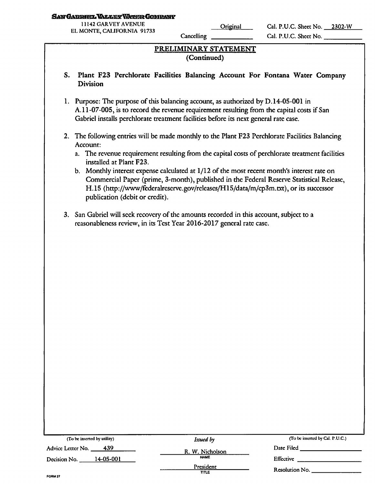#### SAN GABRIEL VALLEY WATER COMPANY

11142 GARVEY AVENUE EL MONTE, CALIFORNIA 91733

**Cancelling** 

Original Cal. P.U.C. Sheet No. 2302-W Cal. P.U.C. Sheet No.

# *PRELIMINARY STATEMENT (Continued)*

- *S. Plant F23 Perchlorate Facilities Balancing Account For Fontana Water Company Division*
- 1. Purpose: The purpose of this balancing account, as authorized by D.14-05-001 in A.11-07-005, is to record the revenue requirement resulting from the capital costs if San Gabriel installs perchlorate treatment facilities before its next general rate case.
- 2. The following entries will be made monthly to the Plant F23 Perchlorate Facilities Balancing Account:
	- a. The revenue requirement resulting from the capital costs of perchlorate treatment facilities installed at Plant F23.
	- b. Monthly interest expense calculated at  $1/12$  of the most recent month's interest rate on Commercial Paper (prime, 3-month), published in the Federal Reserve Statistical Release, H.15 (http://www/federalreserve.gov/releases/H15/data/m/cp3m.txt), or its successor publication (debit or credit).
- 3. San Gabriel will seek recovery of the amounts recorded in this account, subject to a reasonableness review, in its Test Year 2016-2017 general rate case.

| (To be inserted by utility) | Issued by          | (To be inserted by Cal. P.U.C.) |  |
|-----------------------------|--------------------|---------------------------------|--|
| $-439$<br>Advice Letter No. | R. W. Nicholson    | Date Filed                      |  |
| 14-05-001<br>Decision No.   | <b>NAME</b>        | Effective                       |  |
|                             | President<br>TITLE | Resolution No.                  |  |
| FORM 27                     |                    |                                 |  |